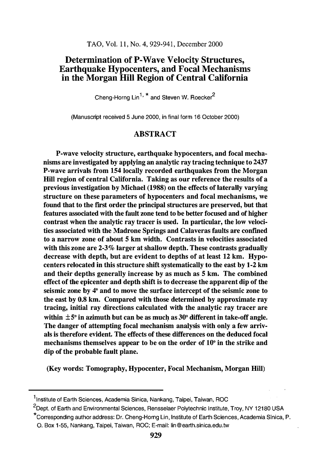# Determination of P-Wave Velocity Structures, Earthquake Hypocenters, and Focal Mechanisms in the Morgan Hill Region of Central California

Cheng-Horng  $\text{Lin}^{1, \star}$  and Steven W. Roecker<sup>2</sup>

(Manuscript received 5 June 2000, in final form 16 October 2000)

# **ABSTRACT**

P-wave velocity structure, earthquake hypocenters, and focal mechanisms are investigated by applying an analytic ray tracing technique to 2437 P-wave arrivals from 154 locally recorded earthquakes from the Morgan Hill region of central California. Taking as our reference the results of a previous investigation by Michael (1988) on the effects of laterally varying structure on these parameters of hypocenters and focal mechanisms, we found that to the first order the principal structures are preserved, but that features associated with the fault zone tend to be better focused and of higher contrast when the analytic ray tracer is used. In particular, the low velocities associated with the Madrone Springs and Calaveras faults are confined to a narrow zone of about 5 km width. Contrasts in velocities associated with this zone are 2-3% larger at shallow depth. These contrasts gradually decrease with depth, but are evident to depths of at least 12 km. Hypocenters relocated in this structure shift systematically to the east by 1-2 km and their depths generally increase by as much as 5 km. The combined effect of the epicenter and depth shift is to decrease the apparent dip of the seismic zone by 4° and to move the surface intercept of the seismic zone to the east by 0.8 km. Compared with those determined by approximate ray tracing, initial ray directions calculated with the analytic ray tracer are within  $\pm 5^{\circ}$  in azimuth but can be as much as 30 $^{\circ}$  different in take-off angle. The danger of attempting focal mechanism analysis with only a few arrivals is therefore evident. The effects of these differences on the deduced focal mechanisms themselves appear to be on the order of 10° in the strike and dip of the probable fault plane.

(Key words: Tomography, Hypocenter, Focal Mechanism, Morgan Hill)

<sup>&</sup>lt;sup>1</sup> Institute of Earth Sciences, Academia Sinica, Nankang, Taipei, Taiwan, ROC

<sup>&</sup>lt;sup>2</sup>Dept. of Earth and Environmental Sciences, Rensselaer Polytechnic Institute, Troy, NY 12180 USA

<sup>\*</sup>corresponding author address: Dr. Gheng-Horng Lin, Institute of Earth Sciences, Academia Sinica, P. 0. Box 1-55, Nankang, Taipei, Taiwan, ROG; E-mail: lin@earth.sinica.edu.tw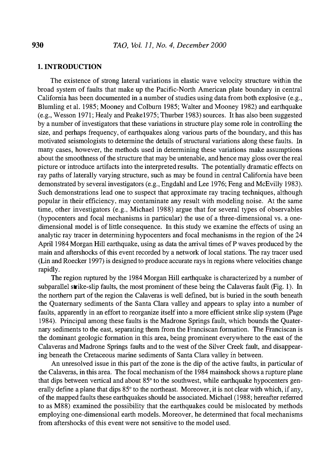# 1. INTRODUCTION

The existence of strong lateral variations in elastic wave velocity structure within the broad system of faults that make up the Pacific-North American plate boundary in central California has been documented in a number of studies using data from both explosive (e.g., Blumling et al. 1985; Mooney and Colburn 1985; Walter and Mooney 1982) and earthquake (e.g., Wesson 1971; Healy and Peakel975; Thurber 1983) sources. It has also been suggested by a number of investigators that these variations in structure play some role in controlling the size, and perhaps frequency, of earthquakes along various parts of the boundary, and this has motivated seismologists to determine the details of structural variations along these faults. In many cases, however, the methods used in determining these variations make assumptions about the smoothness of the structure that may be untenable, and hence may gloss over the real picture or introduce artifacts into the interpreted results. The potentially dramatic effects on ray paths of laterally varying structure, such as may be found in central California have been demonstrated by several investigators (e.g., Engdahl and Lee 1976; Feng and McEvilly 1983). Such demonstrations lead one to suspect that approximate ray tracing techniques, although popular in their efficiency, may contaminate any result with modeling noise. At the same time, other investigators (e.g., Michael 1988) argue that for several types of observables (hypocenters and focal mechanisms in particular) the use of a three-dimensional vs. a onedimensional model is of little consequence. In this study we examine the effects of using an analytic ray tracer in determining hypocenters and focal mechanisms in the region of the 24 April 1984 Morgan Hill earthquake, using as data the arrival times of P waves produced by the main and aftershocks of this event recorded by a network of local stations. The ray tracer used (Lin and Roecker 1997) is designed to produce accurate rays in regions where velocities change rapidly.

The region ruptured by the 1984 Morgan Hill earthquake is characterized by a number of subparallel strike-slip faults, the most prominent of these being the Calaveras fault (Fig. 1). In the northern part of the region the Calaveras is well defined, but is buried in the south beneath the Quaternary sediments of the Santa Clara valley and appears to splay into a number of faults, apparently in an effort to reorganize itself into a more efficient strike slip system (Page 1984). Principal among these faults is the Madrone Springs fault, which bounds the Quaternary sediments to the east, separating them from the Franciscan formation. The Franciscan is the dominant geologic formation in this area, being prominent everywhere to the east of the Calaveras and Madrone Springs faults and to the west of the Silver Creek fault, and disappearing beneath the Cretaceous marine sediments of Santa Clara valley in between.

An unresolved issue in this part of the zone is the dip of the active faults, in particular of the Calaveras, in this area. The focal mechanism of the 1984 mainshock shows a rupture plane that dips between vertical and about 85° to the southwest, while earthquake hypocenters generally define a plane that dips 85° to the northeast. Moreover, it is not clear with which, if any, of the mapped faults these earthquakes should be associated. Michael (1988; hereafter referred to as M88) examined the possibility that the earthquakes could be mislocated by methods employing one-dimensional earth models. Moreover, he determined that focal mechanisms from aftershocks of this event were not sensitive to the model used.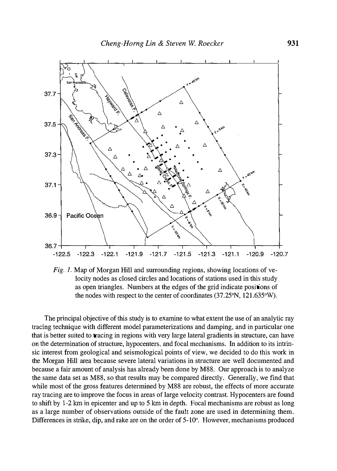

Fig. 1. Map of Morgan Hill and surrounding regions, showing locations of velocity nodes as closed circles and locations of stations used in this study as open triangles. Numbers at the edges of the grid indicate positions of the nodes with respect to the center of coordinates (37 .25°N, 121.635°W).

The principal objective of this study is to examine to what extent the use of an analytic ray tracing technique with different model parameterizations and damping, and in particular one that is better suited to tracing in regions with very large lateral gradients in structure, can have on the determination of structure, hypocenters, and focal mechanisms. In addition to its intrinsic interest from geological and seismological points of view, we decided to do this work in the Morgan Hill area because severe lateral variations in structure are well documented and because a fair amount of analysis has already been done by M88. Our approach is to analyze the same data set as M88, so that results may be compared directly. Generally, we find that while most of the gross features determined by M88 are robust, the effects of more accurate ray tracing are to improve the focus in areas of large velocity contrast. Hypocenters are found to shift by 1-2 km in epicenter and up to 5 km in depth. Focal mechanisms are robust as long as a large number of observations outside of the fault zone are used in determining them. Differences in strike, dip, and rake are on the order of 5-10°. However, mechanisms produced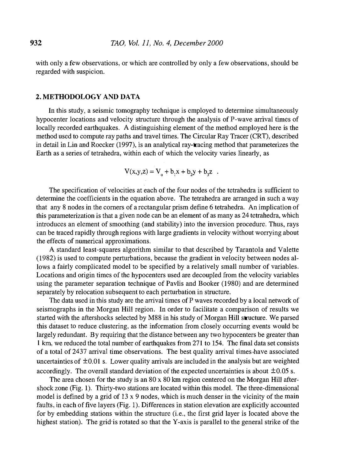with only a few observations, or which are controlled by only a few observations, should be regarded with suspicion.

#### 2.METHODOLOGY AND DATA

In this study, a seismic tomography technique is employed to determine simultaneously hypocenter locations and velocity structure through the analysis of P-wave arrival times of locally recorded earthquakes. A distinguishing element of the method employed here is the method used to compute ray paths and travel times. The Circular Ray Tracer (CRT), described in detail in Lin and Roecker (1997), is an analytical ray-tracing method that parameterizes the Earth as a series of tetrahedra, within each of which the velocity varies linearly, as

$$
V(x,y,z) = V_0 + b_1x + b_2y + b_3z
$$

The specification of velocities at each of the four nodes of the tetrahedra is sufficient to determine the coefficients in the equation above. The tetrahedra are arranged in such a way that any 8 nodes in the corners of a rectangular prism define 6 tetrahedra. An implication of this parameterization is that a given node can be an element of as many as 24 tetrahedra, which introduces an element of smoothing (and stability) into the inversion procedure. Thus, rays can be traced rapidly through regions with large gradients in velocity without worrying about the effects of numerical approximations.

A standard least-squares algorithm similar to that described by Tarantola and Valette (1982) is used to compute perturbations, because the gradient in velocity between nodes allows a fairly complicated model to be specified by a relatively small number of variables. Locations and origin times of the hypocenters used are decoupled from the velocity variables using the parameter separation technique of Pavlis and Booker (1980) and are determined separately by relocation subsequent to each perturbation in structure.

The data used in this study are the arrival times of P waves recorded by a local network of seismographs in the Morgan Hill region. In order to facilitate a comparison of results we started with the aftershocks selected by M88 in his study of Morgan Hill structure. We parsed this dataset to reduce clustering, as the information from closely occurring events would be largely redundant. By requiring that the distance between any two hypocenters be greater than 1 km, we reduced the total number of earthquakes from 271 to 154. The final data set consists of a total of 2437 arrival time observations. The best quality arrival times have associated uncertainties of  $\pm 0.01$  s. Lower quality arrivals are included in the analysis but are weighted accordingly. The overall standard deviation of the expected uncertainties is about  $\pm 0.05$  s.

The area chosen for the study is an  $80 \times 80$  km region centered on the Morgan Hill aftershock zone (Fig. 1). Thirty-two stations are located within this model. The three-dimensional model is defined by a grid of  $13 \times 9$  nodes, which is much denser in the vicinity of the main faults, in each of five layers (Fig. 1). Differences in station elevation are explicitly accounted for by embedding stations within the structure (i.e., the first grid layer is located above the highest station). The grid is rotated so that the Y-axis is parallel to the general strike of the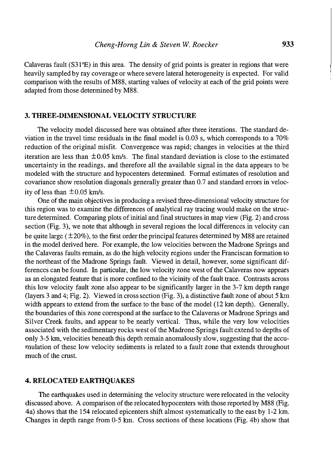Calaveras fault  $(S31^{\circ}E)$  in this area. The density of grid points is greater in regions that were heavily sampled by ray coverage or where severe lateral heterogeneity is expected. For valid comparison with the results of M88, starting values of velocity at each of the grid points were adapted from those determined by M88.

# 3. THREE-DIMENSIONAL VELOCITY STRUCTURE

The velocity model discussed here was obtained after three iterations. The standard deviation in the travel time residuals in the final model is 0.03 s, which corresponds to a 70% reduction of the original misfit. Convergence was rapid; changes in velocities at the third iteration are less than  $\pm 0.05$  km/s. The final standard deviation is close to the estimated uncertainty in the readings, and therefore all the available signal in the data appears to be modeled with the structure and hypocenters determined. Formal estimates of resolution and covariance show resolution diagonals generally greater than 0.7 and standard errors in velocity of less than  $\pm 0.05$  km/s.

One of the main objectives in producing a revised three-dimensional velocity structure for this region was to examine the differences of analytical ray tracing would make on the structure determined. Comparing plots of initial and final structures in map view (Fig. 2) and cross section (Fig. 3), we note that although in several regions the local differences in velocity can be quite large ( $\pm 20\%$ ), to the first order the principal features determined by M88 are retained in the model derived here. For example, the low velocities between the Madrone Springs and the Calaveras faults remain, as do the high velocity regions under the Franciscan formation to the northeast of the Madrone Springs fault. Viewed in detail, however, some significant differences can be found. In particular, the low velocity zone west of the Calaveras now appears as an elongated feature that is more confined to the vicinity of the fault trace. Contrasts across this low velocity fault zone also appear to be significantly larger in the 3-7 km depth range (layers 3 and 4; Fig. 2). Viewed in cross section (Fig. 3), a distinctive fault zone of about 5 km width appears to extend from the surface to the base of the model (12 km depth). Generally, the boundaries of this zone correspond at the surface to the Calaveras or Madrone Springs and Silver Creek faults, and appear to be nearly vertical. Thus, while the very low velocities associated with the sedimentary rocks west of the Madrone Springs fault extend to depths of only 3-5 km, velocities beneath this depth remain anomalously slow, suggesting that the accumulation of these low velocity sediments is related to a fault zone that extends throughout much of the crust.

#### 4. RELOCATED EARTHQUAKES

The earthquakes used in determining the velocity structure were relocated in the velocity discussed above. A comparison of the relocated hypocenters with those reported by M88 (Fig. 4a) shows that the 154 relocated epicenters shift almost systematically to the east by 1-2 km. Changes in depth range from 0-5 km. Cross sections of these locations (Fig. 4b) show that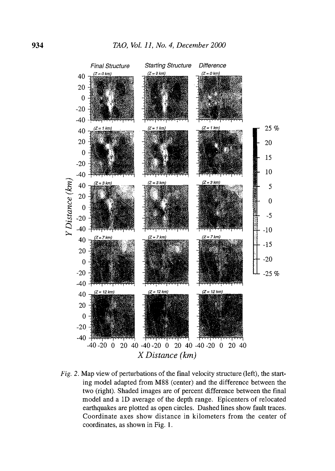

Fig. 2. Map view of perturbations of the final velocity structure (left), the starting model adapted from M88 (center) and the difference between the two (right). Shaded images are of percent difference between the final model and a 1D average of the depth range. Epicenters of relocated earthquakes are plotted as open circles. Dashed lines show fault traces. Coordinate axes show distance in kilometers from the center of coordinates, as shown in Fig. 1.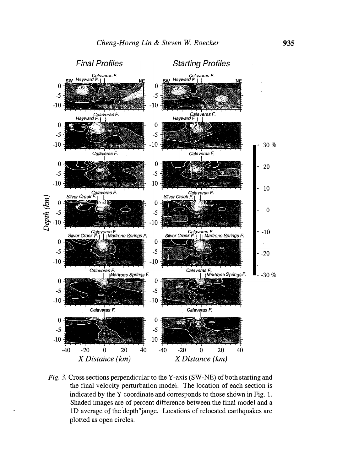

Fig. 3. Cross sections perpendicular to the Y-axis (SW-NE) of both starting and the final velocity perturbation model. The location of each section is indicated by the Y coordinate and corresponds to those shown in Fig. 1. Shaded images are of percent difference between the final model and a lD average of the depth"jange. Locations of relocated earthquakes are plotted as open circles.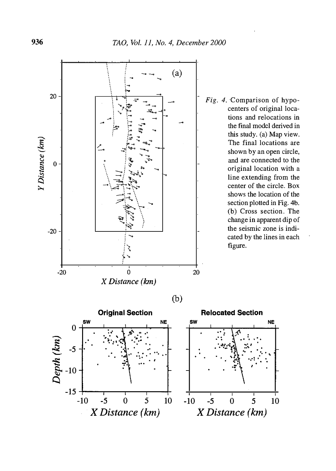

Fig. 4. Comparison of hypocenters of original locations and relocations in the final model derived in this study. (a) Map view. The final locations are shown by an open circle, and are connected to the original location with a line extending from the center of the circle. Box shows the location of the section plotted in Fig. 4b. (b) Cross section. The change in apparent dip of the seismic zone is indicated by the lines in each figure.

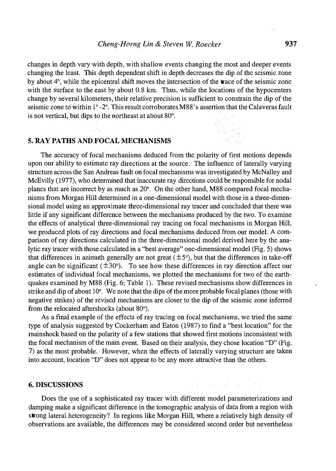changes in depth vary with depth, with shallow events changing the most and deeper events changing the least. This depth dependent shift in depth decreases the dip of the seismic zone by about  $4^\circ$ , while the epicentral shift moves the intersection of the trace of the seismic zone with the surface to the east by about 0.8 km. Thus, while the locations of the hypocenters change by several kilometers, their relative precision is sufficient to constrain the dip of the seismic zone to within 1° -2°. This result corroborates M88's assertion that the Calaveras fault is not vertical, but dips to the northeast at about 80°.

### 5. RAY PATHS AND FOCAL MECHANISMS

The accuracy of focal mechanisms deduced from the polarity of first motions depends upon our ability to estimate ray directions at the source. The influence of laterally varying structure across the San Andreas fault on focal mechanisms was investigated by McNalley and McEvilly (1977), who determined that inaccurate ray directions could be responsible for nodal planes that are incorrect by as much as 20°. On the other hand, M88 compared focal mechanisms from Morgan Hill determined in a one-dimensional model with those in a three-dimensional model using an approximate three-dimensional ray tracer and concluded that there was little if any significant difference between the mechanisms produced by the two. To examine the effects of analytical three-dimensional ray tracing on focal mechanisms in Morgan Hill, we produced plots of ray directions and focal mechanisms deduced from our model. A comparison of ray directions calculated in the three-dimensional model derived here by the analytic ray tracer with those calculated in a "best average" one-dimensional model (Fig. 5) shows that differences in azimuth generally are not great  $(\pm 5^{\circ})$ , but that the differences in take-off angle can be significant  $(\pm 30^{\circ})$ . To see how these differences in ray direction affect our estimates of individual focal mechanisms, we plotted the mechanisms for two of the earthquakes examined by M88 (Fig. 6; Table 1). These revised mechanisms show differences in strike and dip of about  $10^{\circ}$ . We note that the dips of the more probable focal planes (those with negative strikes) of the revised mechanisms are closer to the dip of the seismic zone inferred from the relocated aftershocks (about 80°).

As a final example of the effects of ray tracing on focal mechanisms, we tried the same type of analysis suggested by Cockerham and Eaton (1987) to find a "best location" for the mainshock based on the polarity of a few stations that showed first motions inconsistent with the focal mechanism of the main event. Based on their analysis, they chose location "D" (Fig. 7) as the most probable. However, when the effects of laterally varying structure are taken into account, location "D" does not appear to be any more attractive than the others.

#### 6. DISCUSSIONS ·

Does the use of a sophisticated ray tracer with different model parameterizations and damping make a significant difference in the tomographic analysis of data from a region with strong lateral heterogeneity? In regions like Morgan Hill, where a relatively high density of observations are available, the differences may be considered second order but nevertheless

**Contract Contract Contract**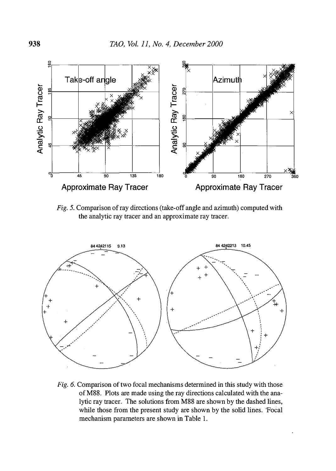

Fig. 5. Comparison of ray directions (take-off angle and azimuth) computed with the analytic ray tracer and an approximate ray tracer.



Fig. 6. Comparison of two focal mechanisms determined in this study with those of MSS. Plots are made using the ray directions calculated with the analytic ray tracer. The solutions from MSS are shown by the dashed lines, while those from the present study are shown by the solid lines. Focal mechanism parameters are shown in Table 1.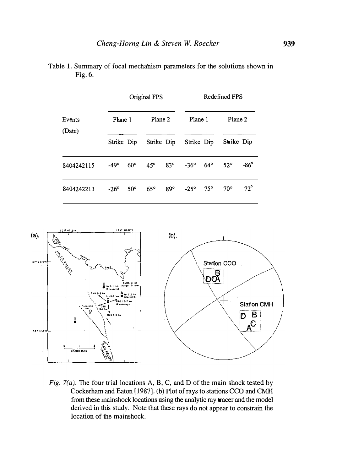| Events<br>(Date) | Original FPS |            |              |            | Redefined FPS |              |              |              |
|------------------|--------------|------------|--------------|------------|---------------|--------------|--------------|--------------|
|                  | Plane 1      |            | Plane 2      |            | Plane 1       |              | Plane 2      |              |
|                  | Strike Dip   |            |              | Strike Dip | Strike Dip    |              | Strike Dip   |              |
| 8404242115       | $-49^\circ$  | $60^\circ$ | $45^\circ$   | $83^\circ$ | $-36^\circ$   | $64^{\circ}$ | $52^\circ$   | $-86^\circ$  |
| 8404242213       | $-26^\circ$  | $50^\circ$ | $65^{\circ}$ | 89°        | $-25^\circ$   | $75^{\circ}$ | $70^{\circ}$ | $72^{\circ}$ |

Table 1. Summary of focal mechanism parameters for the solutions shown in Fig. 6.



Fig. 7( $a$ ). The four trial locations A, B, C, and D of the main shock tested by Cockerham and Eaton [1987]. (b) Plot ofrays to stations CCO and CMH from these mainshock locations using the analytic ray tracer and the model derived in this study. Note that these rays do not appear to constrain the location of the mainshock.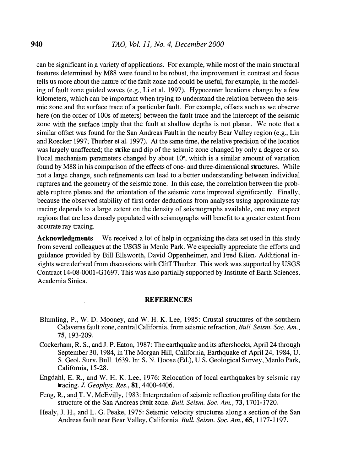can be significant in a variety of applications. For example, while most of the main structural features determined by M88 were found to be robust, the improvement in contrast and focus tells us more about the nature of the fault zone and could be useful, for example, in the modeling of fault zone guided waves (e.g., Li et al. 1997). Hypocenter locations change by a few kilometers, which can be important when trying to understand the relation between the seismic zone and the surface trace of a particular fault. For example, offsets such as we observe here (on the order of lOOs of meters) between the fault trace and the intercept of the seismic zone with the surface imply that the fault at shallow depths is not planar. We note that a similar offset was found for the San Andreas Fault in the nearby Bear Valley region (e.g., Lin and Roecker 1997; Thurber et al. 1997). At the same time, the relative precision of the locatios was largely unaffected; the strike and dip of the seismic zone changed by only a degree or so. Focal mechanism parameters changed by about 10°, which is a similar amount of variation found by M88 in his comparison of the effects of one- and three-dimensional structures. While not a large change, such refinements can lead to a better understanding between individual ruptures and the geometry of the seismic zone. In this case, the correlation between the probable rupture planes and the orientation of the seismic zone improved significantly. Finally, because the observed stability of first order deductions from analyses using approximate ray tracing depends to a large extent on the density of seismographs available, one may expect regions that are less densely populated with seismographs will benefit to a greater extent from accurate ray tracing.

Acknowledgments We received a lot of help in organizing the data set used in this study from several colleagues at the USGS in Menlo Park. We especially appreciate the efforts and guidance provided by Bill Ellsworth, David Oppenheimer, and Fred Klien. Additional insights were derived from discussions with Cliff Thurber. This work was supported by USGS Contract 14-08-000I-G1697. This was also partially supported by Institute of Earth Sciences, Academia Sinica.

#### **REFERENCES**

- Blumling, P., W. D. Mooney, and W. H.K. Lee, 1985: Crustal structures of the southern Calaveras fault zone, central California, from seismic refraction. Bull. Seism. Soc. Am., 75, 193-209.
- Cockerham, R. S., and J. P. Eaton, 1987: The earthquake and its aftershocks, April 24 through September 30, 1984, in The Morgan Hill, California, Earthquake of April 24, 1984, U. S. GeoL Surv. Bull. 1639. In: S. N. Hoose (Ed.), U.S. Geological Survey, Menlo Park, California, 15-28.
- Engdahl, E. R., and W. H. K. Lee, 1976: Relocation of local earthquakes by seismic ray tracing. J. Geophys. Res., 81, 4400-4406.
- Feng, R., and T. V. McEvilly, 1983: Interpretation of seismic reflection profiling data for the structure of the San Andreas fault zone. Bull. Seism. Soc. Am., 73, 1701-1720.
- Healy, J. H., and L. G. Peake, 1975: Seismic velocity structures along a section of the San Andreas fault near Bear Valley, California. Bull. Seism. Soc. Am., 65, 1177-1197.